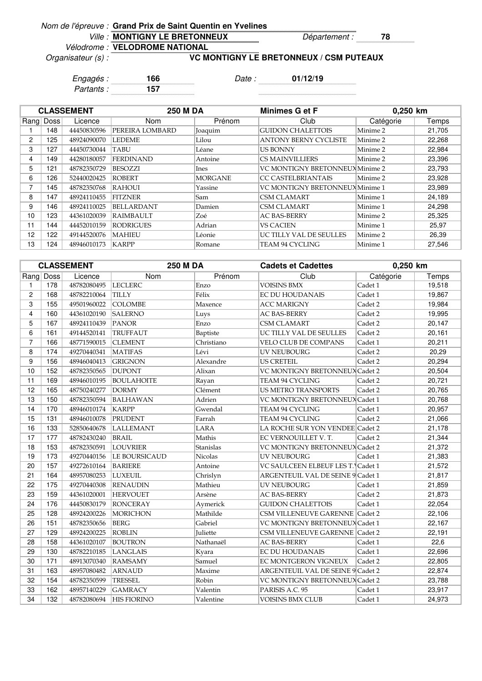| Nom de l'épreuve : Grand Prix de Saint Quentin en Yvelines |
|------------------------------------------------------------|
|                                                            |
|                                                            |

Ville : **MONTIGNY LE BRETONNEUX** Département : 78

Vélodrome : **VELODROME NATIONAL** Organisateur (s) :

## **VC MONTIGNY LE BRETONNEUX / CSM PUTEAUX**

Engagés : **166** Date : **01/12/19** Partants : **157**

|    |           | <b>CLASSEMENT</b> | <b>250 M DA</b>   |                | Minimes G et F                  | 0,250 km  |        |
|----|-----------|-------------------|-------------------|----------------|---------------------------------|-----------|--------|
|    | Rang Doss | Licence           | <b>Nom</b>        | Prénom         | Club                            | Catégorie | Temps  |
|    | 148       | 44450830596       | PEREIRA LOMBARD   | Joaquim        | <b>GUIDON CHALETTOIS</b>        | Minime 2  | 21,705 |
| 2  | 125       | 48924090070       | <b>LEDEME</b>     | Lilou          | <b>ANTONY BERNY CYCLISTE</b>    | Minime 2  | 22,268 |
| 3  | 127       | 44450730044       | TABU              | Léane          | <b>US BONNY</b>                 | Minime 2  | 22,984 |
| 4  | 149       | 44280180057       | <b>FERDINAND</b>  | Antoine        | <b>CS MAINVILLIERS</b>          | Minime 2  | 23,396 |
| 5  | 121       | 48782350729       | <b>BESOZZI</b>    | Ines           | VC MONTIGNY BRETONNEUX Minime 2 |           | 23,793 |
| 6  | 126       | 52440020425       | <b>ROBERT</b>     | <b>MORGANE</b> | <b>CC CASTELBRIANTAIS</b>       | Minime 2  | 23,928 |
| 7  | 145       | 48782350768       | RAHOUI            | Yassine        | VC MONTIGNY BRETONNEUX Minime 1 |           | 23,989 |
| 8  | 147       | 48924110455       | <b>FITZNER</b>    | Sam            | <b>CSM CLAMART</b>              | Minime 1  | 24,189 |
| 9  | 146       | 48924110025       | <b>BELLARDANT</b> | Damien         | <b>CSM CLAMART</b>              | Minime 1  | 24,298 |
| 10 | 123       | 44361020039       | RAIMBAULT         | Zoé            | <b>AC BAS-BERRY</b>             | Minime 2  | 25,325 |
| 11 | 144       | 44452010159       | <b>RODRIGUES</b>  | Adrian         | <b>VS CACIEN</b>                | Minime 1  | 25,97  |
| 12 | 122       | 49144520076       | <b>MAHIEU</b>     | Léonie         | UC TILLY VAL DE SEULLES         | Minime 2  | 26,39  |
| 13 | 124       | 48946010173       | <b>KARPP</b>      | Romane         | TEAM 94 CYCLING                 | Minime 1  | 27,546 |

|                | <b>CLASSEMENT</b> |             | <b>250 M DA</b>      |                 | <b>Cadets et Cadettes</b>         | 0,250 km  |        |
|----------------|-------------------|-------------|----------------------|-----------------|-----------------------------------|-----------|--------|
|                | Rang Doss         | Licence     | Nom                  | Prénom          | Club                              | Catégorie | Temps  |
| $\mathbf{1}$   | 178               | 48782080495 | <b>LECLERC</b>       | Enzo            | <b>VOISINS BMX</b>                | Cadet 1   | 19,518 |
| 2              | 168               | 48782210064 | <b>TILLY</b>         | Félix           | <b>EC DU HOUDANAIS</b>            | Cadet 1   | 19,867 |
| 3              | 155               | 49501960022 | <b>COLOMBE</b>       | Maxence         | <b>ACC MARIGNY</b>                | Cadet 2   | 19,984 |
| 4              | 160               | 44361020190 | <b>SALERNO</b>       | Luys            | AC BAS-BERRY                      | Cadet 2   | 19,995 |
| 5              | 167               | 48924110439 | PANOR                | Enzo            | <b>CSM CLAMART</b>                | Cadet 2   | 20,147 |
| 6              | 161               | 49144520141 | <b>TRUFFAUT</b>      | Baptiste        | UC TILLY VAL DE SEULLES           | Cadet 2   | 20,161 |
| $\overline{7}$ | 166               | 48771590015 | <b>CLEMENT</b>       | Christiano      | VELO CLUB DE COMPANS              | Cadet 1   | 20,211 |
| 8              | 174               | 49270440341 | <b>MATIFAS</b>       | Lévi            | <b>UV NEUBOURG</b>                | Cadet 2   | 20,29  |
| 9              | 156               | 48946040413 | <b>GRIGNON</b>       | Alexandre       | <b>US CRETEIL</b>                 | Cadet 2   | 20,294 |
| 10             | 152               | 48782350565 | <b>DUPONT</b>        | Alixan          | VC MONTIGNY BRETONNEUX Cadet 2    |           | 20,504 |
| 11             | 169               | 48946010195 | <b>BOULAHOITE</b>    | Rayan           | TEAM 94 CYCLING                   | Cadet 2   | 20,721 |
| 12             | 165               | 48750240277 | <b>DORMY</b>         | Clément         | <b>US METRO TRANSPORTS</b>        | Cadet 2   | 20,765 |
| 13             | 150               | 48782350594 | <b>BALHAWAN</b>      | Adrien          | VC MONTIGNY BRETONNEUX Cadet 1    |           | 20,768 |
| 14             | 170               | 48946010174 | <b>KARPP</b>         | Gwendal         | <b>TEAM 94 CYCLING</b>            | Cadet 1   | 20,957 |
| 15             | 131               | 48946010078 | PRUDENT              | Farrah          | TEAM 94 CYCLING                   | Cadet 2   | 21,066 |
| 16             | 133               | 52850640678 | <b>LALLEMANT</b>     | LARA            | LA ROCHE SUR YON VENDEE Cadet 2   |           | 21,178 |
| 17             | 177               | 48782430240 | <b>BRAIL</b>         | Mathis          | EC VERNOUILLET V.T.               | Cadet 2   | 21,344 |
| 18             | 153               | 48782350591 | <b>LOUVRIER</b>      | Stanislas       | VC MONTIGNY BRETONNEUX Cadet 2    |           | 21,372 |
| 19             | 173               | 49270440156 | <b>LE BOURSICAUD</b> | <b>Nicolas</b>  | <b>UV NEUBOURG</b>                | Cadet 1   | 21,383 |
| 20             | 157               | 49272610164 | <b>BARIERE</b>       | Antoine         | VC SAULCEEN ELBEUF LES T. Cadet 1 |           | 21,572 |
| 21             | 164               | 48957080253 | <b>LUXEUIL</b>       | Chrislyn        | ARGENTEUIL VAL DE SEINE 9 Cadet 1 |           | 21,817 |
| 22             | 175               | 49270440308 | <b>RENAUDIN</b>      | Mathieu         | <b>UV NEUBOURG</b>                | Cadet 1   | 21,859 |
| 23             | 159               | 44361020001 | <b>HERVOUET</b>      | Arsène          | <b>AC BAS-BERRY</b>               | Cadet 2   | 21,873 |
| 24             | 176               | 44450830179 | <b>RONCERAY</b>      | Aymerick        | <b>GUIDON CHALETTOIS</b>          | Cadet 1   | 22,054 |
| 25             | 128               | 48924200226 | <b>MORICHON</b>      | Mathilde        | CSM VILLENEUVE GARENNE Cadet 2    |           | 22,106 |
| 26             | 151               | 48782350656 | <b>BERG</b>          | Gabriel         | VC MONTIGNY BRETONNEUX Cadet 1    |           | 22,167 |
| 27             | 129               | 48924200225 | <b>ROBLIN</b>        | <b>Juliette</b> | CSM VILLENEUVE GARENNE Cadet 2    |           | 22,191 |
| 28             | 158               | 44361020107 | <b>BOUTRON</b>       | Nathanaël       | AC BAS-BERRY                      | Cadet 1   | 22,6   |
| 29             | 130               | 48782210185 | <b>LANGLAIS</b>      | Kyara           | <b>EC DU HOUDANAIS</b>            | Cadet 1   | 22,696 |
| 30             | 171               | 48913070340 | <b>RAMSAMY</b>       | Samuel          | EC MONTGERON VIGNEUX              | Cadet 2   | 22,805 |
| 31             | 163               | 48957080482 | <b>ARNAUD</b>        | Maxime          | ARGENTEUIL VAL DE SEINE 9 Cadet 2 |           | 22,874 |
| 32             | 154               | 48782350599 | <b>TRESSEL</b>       | Robin           | VC MONTIGNY BRETONNEUX Cadet 2    |           | 23,788 |
| 33             | 162               | 48957140229 | <b>GAMRACY</b>       | Valentin        | PARISIS A.C. 95                   | Cadet 1   | 23,917 |
| 34             | 132               | 48782080694 | <b>HIS FIORINO</b>   | Valentine       | <b>VOISINS BMX CLUB</b>           | Cadet 1   | 24,973 |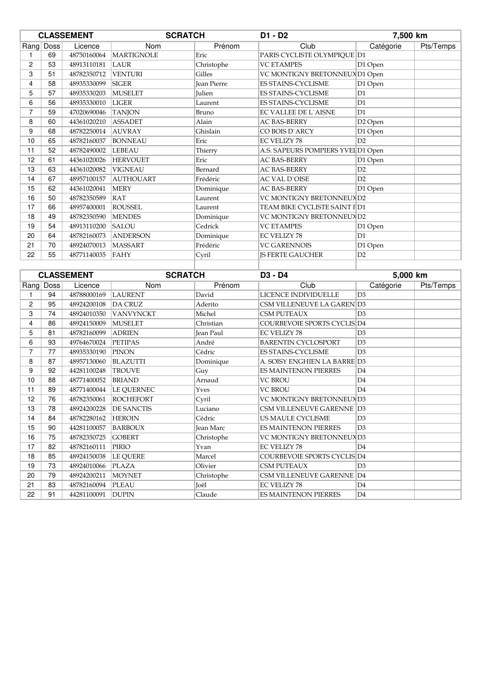|                |           | <b>CLASSEMENT</b>          | <b>SCRATCH</b>           |                | D1 - D2                              | 7,500 km       |           |
|----------------|-----------|----------------------------|--------------------------|----------------|--------------------------------------|----------------|-----------|
|                | Rang Doss | Licence                    | Nom                      | Prénom         | Club                                 | Catégorie      | Pts/Temps |
| 1.             | 69        | 48750160064                | <b>MARTIGNOLE</b>        | Eric           | PARIS CYCLISTE OLYMPIQUE D1          |                |           |
| 2              | 53        | 48913110181                | LAUR                     | Christophe     | <b>VC ETAMPES</b>                    | D1 Open        |           |
| 3              | 51        | 48782350712                | VENTURI                  | Gilles         | VC MONTIGNY BRETONNEUX D1 Open       |                |           |
| 4              | 58        | 48935330099                | <b>SIGER</b>             | Jean Pierre    | ES STAINS-CYCLISME                   | D1 Open        |           |
| 5              | 57        | 48935330203                | <b>MUSELET</b>           | Julien         | ES STAINS-CYCLISME                   | D1             |           |
| 6              | 56        | 48935330010                | <b>LIGER</b>             | Laurent        | ES STAINS-CYCLISME                   | D1             |           |
| $\overline{7}$ | 59        | 47020690046                | <b>TANJON</b>            | Bruno          | <b>EC VALLEE DE L'AISNE</b>          | D1             |           |
| 8              | 60        | 44361020210                | <b>ASSADET</b>           | Alain          | AC BAS-BERRY                         | D2 Open        |           |
| 9              | 68        | 48782250014                | <b>AUVRAY</b>            | Ghislain       | CO BOIS D'ARCY                       | D1 Open        |           |
| 10             | 65        | 48782160037                | <b>BONNEAU</b>           | Eric           | EC VELIZY 78                         | D2             |           |
| 11             | 52        | 48782490002                | <b>LEBEAU</b>            | Thierry        | A.S. SAPEURS POMPIERS YVEI D1 Open   |                |           |
| 12             | 61        | 44361020026                | <b>HERVOUET</b>          | Eric           | AC BAS-BERRY                         | D1 Open        |           |
| 13             | 63        | 44361020082                | VIGNEAU                  | Bernard        | AC BAS-BERRY                         | D <sub>2</sub> |           |
| 14             | 67        | 48957100157                | <b>AUTHOUART</b>         | Frédéric       | <b>AC VAL D'OISE</b>                 | D2             |           |
| 15             | 62        | 44361020041                | <b>MERY</b>              | Dominique      | AC BAS-BERRY                         | D1 Open        |           |
| 16             | 50        | 48782350589                | RAT                      | Laurent        | VC MONTIGNY BRETONNEUX D2            |                |           |
| 17             | 66        | 48957400001                | <b>ROUSSEL</b>           | Laurent        | TEAM BIKE CYCLISTE SAINT FD1         |                |           |
| 18             | 49        | 48782350590                | <b>MENDES</b>            | Dominique      | VC MONTIGNY BRETONNEUX D2            |                |           |
| 19             | 54        | 48913110200                | <b>SALOU</b>             | Cedrick        | <b>VC ETAMPES</b>                    | D1 Open        |           |
| 20             | 64        | 48782160073                | <b>ANDERSON</b>          | Dominique      | EC VELIZY 78                         | D1             |           |
| 21             | 70        | 48924070013                | <b>MASSART</b>           | Frédéric       | <b>VC GARENNOIS</b>                  | D1 Open        |           |
| 22             | 55        | 48771140035                | FAHY                     | Cyril          | <b>JS FERTE GAUCHER</b>              | D <sub>2</sub> |           |
|                |           |                            |                          |                |                                      |                |           |
|                |           |                            |                          |                |                                      |                |           |
|                |           | <b>CLASSEMENT</b>          | <b>SCRATCH</b>           |                | D3 - D4                              | 5,000 km       |           |
|                | Rang Doss | Licence                    | Nom                      | Prénom         | Club                                 | Catégorie      | Pts/Temps |
| 1              | 94        | 48788000169                | LAURENT                  | David          | LICENCE INDIVIDUELLE                 | D3             |           |
| $\overline{c}$ | 95        | 48924200108                | <b>DA CRUZ</b>           | Aderito        | CSM VILLENEUVE LA GAREN D3           |                |           |
| 3              | 74        | 48924010350                | VANVYNCKT                | Michel         | <b>CSM PUTEAUX</b>                   | D <sub>3</sub> |           |
| 4              | 86        | 48924150009                | <b>MUSELET</b>           | Christian      | COURBEVOIE SPORTS CYCLIS D4          |                |           |
| 5              | 81        | 48782160099                | <b>ADRIEN</b>            | Jean Paul      | <b>EC VELIZY 78</b>                  | D3             |           |
| 6              | 93        | 49764670024                | <b>PETIPAS</b>           | André          | <b>BARENTIN CYCLOSPORT</b>           | D <sub>3</sub> |           |
| $\overline{7}$ | 77        | 48935330190                | PINON                    | Cédric         | ES STAINS-CYCLISME                   | D <sub>3</sub> |           |
| 8              | 87        | 48957130060                | <b>BLAZUTTI</b>          | Dominique      | A. SOISY ENGHIEN LA BARRE D3         |                |           |
| 9              | 92        | 44281100248                | <b>TROUVE</b>            | Guy            | ES MAINTENON PIERRES                 | D4             |           |
| 10             | 88        | 48771400052                | <b>BRIAND</b>            | Arnaud         | <b>VC BROU</b>                       | D <sub>4</sub> |           |
| 11             | 89        |                            | 48771400044   LE QUERNEC | Yves           | <b>VC BROU</b>                       | D4             |           |
| 12             | 76        |                            | 48782350061 ROCHEFORT    | Cyril          | VC MONTIGNY BRETONNEUX D3            |                |           |
| 13             | 78        | 48924200228                | <b>DE SANCTIS</b>        | Luciano        | CSM VILLENEUVE GARENNE D3            |                |           |
| 14             | 84        | 48782280162                | <b>HEROIN</b>            | Cédric         | US MAULE CYCLISME                    | D3             |           |
| 15             | 90        | 44281100057                | <b>BARBOUX</b>           | Jean Marc      | <b>ES MAINTENON PIERRES</b>          | D3             |           |
| 16             | 75        | 48782350725                | <b>GOBERT</b>            | Christophe     | VC MONTIGNY BRETONNEUX D3            |                |           |
| 17             | 82        | 48782160111                | PIRIO                    | Yvan           | <b>EC VELIZY 78</b>                  | D4             |           |
| 18             | 85        | 48924150038                | LE QUERE                 | Marcel         | COURBEVOIE SPORTS CYCLIS D4          |                |           |
| 19             | 73        | 48924010066                | <b>PLAZA</b>             | Olivier        | <b>CSM PUTEAUX</b>                   | D3             |           |
| 20             | 79        | 48924200211                | <b>MOYNET</b>            | Christophe     | CSM VILLENEUVE GARENNE   D4          |                |           |
| 21<br>22       | 83<br>91  | 48782160094<br>44281100091 | PLEAU<br><b>DUPIN</b>    | Joël<br>Claude | EC VELIZY 78<br>ES MAINTENON PIERRES | D4<br>D4       |           |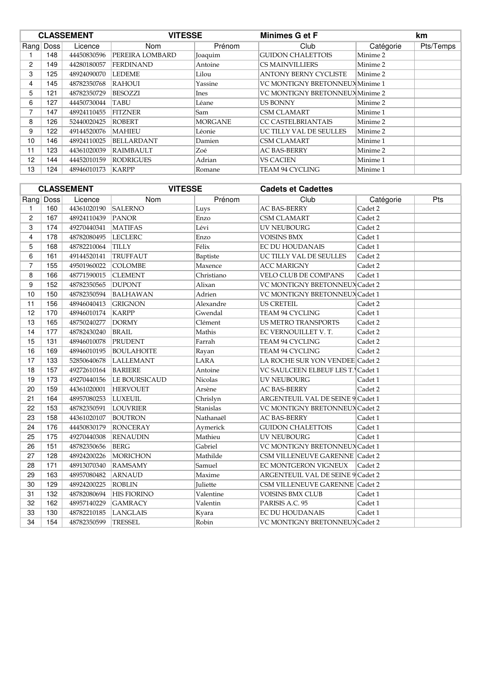|                |           | <b>CLASSEMENT</b> | <b>VITESSE</b>    |                | Minimes G et F                  |           | km        |
|----------------|-----------|-------------------|-------------------|----------------|---------------------------------|-----------|-----------|
|                | Rang Doss | Licence           | <b>Nom</b>        | Prénom         | Club                            | Catégorie | Pts/Temps |
|                | 148       | 44450830596       | PEREIRA LOMBARD   | Joaquim        | <b>GUIDON CHALETTOIS</b>        | Minime 2  |           |
| $\overline{2}$ | 149       | 44280180057       | <b>FERDINAND</b>  | Antoine        | <b>CS MAINVILLIERS</b>          | Minime 2  |           |
| 3              | 125       | 48924090070       | <b>LEDEME</b>     | Lilou          | <b>ANTONY BERNY CYCLISTE</b>    | Minime 2  |           |
| 4              | 145       | 48782350768       | RAHOUI            | Yassine        | VC MONTIGNY BRETONNEUX Minime 1 |           |           |
| 5              | 121       | 48782350729       | <b>BESOZZI</b>    | Ines           | VC MONTIGNY BRETONNEUNMinime 2  |           |           |
| 6              | 127       | 44450730044       | TABU              | Léane          | <b>US BONNY</b>                 | Minime 2  |           |
|                | 147       | 48924110455       | <b>FITZNER</b>    | Sam            | <b>CSM CLAMART</b>              | Minime 1  |           |
| 8              | 126       | 52440020425       | <b>ROBERT</b>     | <b>MORGANE</b> | <b>CC CASTELBRIANTAIS</b>       | Minime 2  |           |
| 9              | 122       | 49144520076       | <b>MAHIEU</b>     | Léonie         | UC TILLY VAL DE SEULLES         | Minime 2  |           |
| 10             | 146       | 48924110025       | <b>BELLARDANT</b> | Damien         | <b>CSM CLAMART</b>              | Minime 1  |           |
| 11             | 123       | 44361020039       | <b>RAIMBAULT</b>  | Zoé            | <b>AC BAS-BERRY</b>             | Minime 2  |           |
| 12             | 144       | 44452010159       | <b>RODRIGUES</b>  | Adrian         | <b>VS CACIEN</b>                | Minime 1  |           |
| 13             | 124       | 48946010173       | <b>KARPP</b>      | Romane         | TEAM 94 CYCLING                 | Minime 1  |           |

|                | <b>CLASSEMENT</b><br><b>VITESSE</b><br><b>Cadets et Cadettes</b> |             |                      |             |                                   |           |     |
|----------------|------------------------------------------------------------------|-------------|----------------------|-------------|-----------------------------------|-----------|-----|
|                | Rang Doss                                                        | Licence     | Nom                  | Prénom      | Club                              | Catégorie | Pts |
| $\mathbf{1}$   | 160                                                              | 44361020190 | <b>SALERNO</b>       | Luys        | AC BAS-BERRY                      | Cadet 2   |     |
| $\overline{c}$ | 167                                                              | 48924110439 | PANOR                | Enzo        | <b>CSM CLAMART</b>                | Cadet 2   |     |
| 3              | 174                                                              | 49270440341 | <b>MATIFAS</b>       | Lévi        | <b>UV NEUBOURG</b>                | Cadet 2   |     |
| 4              | 178                                                              | 48782080495 | <b>LECLERC</b>       | Enzo        | <b>VOISINS BMX</b>                | Cadet 1   |     |
| 5              | 168                                                              | 48782210064 | <b>TILLY</b>         | Félix       | <b>EC DU HOUDANAIS</b>            | Cadet 1   |     |
| 6              | 161                                                              | 49144520141 | <b>TRUFFAUT</b>      | Baptiste    | UC TILLY VAL DE SEULLES           | Cadet 2   |     |
| $\overline{7}$ | 155                                                              | 49501960022 | <b>COLOMBE</b>       | Maxence     | <b>ACC MARIGNY</b>                | Cadet 2   |     |
| 8              | 166                                                              | 48771590015 | <b>CLEMENT</b>       | Christiano  | VELO CLUB DE COMPANS              | Cadet 1   |     |
| 9              | 152                                                              | 48782350565 | <b>DUPONT</b>        | Alixan      | VC MONTIGNY BRETONNEUX Cadet 2    |           |     |
| 10             | 150                                                              | 48782350594 | <b>BALHAWAN</b>      | Adrien      | VC MONTIGNY BRETONNEUX Cadet 1    |           |     |
| 11             | 156                                                              | 48946040413 | <b>GRIGNON</b>       | Alexandre   | <b>US CRETEIL</b>                 | Cadet 2   |     |
| 12             | 170                                                              | 48946010174 | <b>KARPP</b>         | Gwendal     | <b>TEAM 94 CYCLING</b>            | Cadet 1   |     |
| 13             | 165                                                              | 48750240277 | <b>DORMY</b>         | Clément     | <b>US METRO TRANSPORTS</b>        | Cadet 2   |     |
| 14             | 177                                                              | 48782430240 | <b>BRAIL</b>         | Mathis      | EC VERNOUILLET V.T.               | Cadet 2   |     |
| 15             | 131                                                              | 48946010078 | PRUDENT              | Farrah      | <b>TEAM 94 CYCLING</b>            | Cadet 2   |     |
| 16             | 169                                                              | 48946010195 | <b>BOULAHOITE</b>    | Rayan       | <b>TEAM 94 CYCLING</b>            | Cadet 2   |     |
| 17             | 133                                                              | 52850640678 | LALLEMANT            | <b>LARA</b> | LA ROCHE SUR YON VENDEE Cadet 2   |           |     |
| 18             | 157                                                              | 49272610164 | <b>BARIERE</b>       | Antoine     | VC SAULCEEN ELBEUF LES T. Cadet 1 |           |     |
| 19             | 173                                                              | 49270440156 | <b>LE BOURSICAUD</b> | Nicolas     | <b>UV NEUBOURG</b>                | Cadet 1   |     |
| 20             | 159                                                              | 44361020001 | <b>HERVOUET</b>      | Arsène      | <b>AC BAS-BERRY</b>               | Cadet 2   |     |
| 21             | 164                                                              | 48957080253 | <b>LUXEUIL</b>       | Chrislyn    | ARGENTEUIL VAL DE SEINE 9 Cadet 1 |           |     |
| 22             | 153                                                              | 48782350591 | <b>LOUVRIER</b>      | Stanislas   | VC MONTIGNY BRETONNEUX Cadet 2    |           |     |
| 23             | 158                                                              | 44361020107 | <b>BOUTRON</b>       | Nathanaël   | <b>AC BAS-BERRY</b>               | Cadet 1   |     |
| 24             | 176                                                              | 44450830179 | <b>RONCERAY</b>      | Aymerick    | <b>GUIDON CHALETTOIS</b>          | Cadet 1   |     |
| 25             | 175                                                              | 49270440308 | <b>RENAUDIN</b>      | Mathieu     | <b>UV NEUBOURG</b>                | Cadet 1   |     |
| 26             | 151                                                              | 48782350656 | <b>BERG</b>          | Gabriel     | VC MONTIGNY BRETONNEUX Cadet 1    |           |     |
| 27             | 128                                                              | 48924200226 | <b>MORICHON</b>      | Mathilde    | CSM VILLENEUVE GARENNE Cadet 2    |           |     |
| 28             | 171                                                              | 48913070340 | <b>RAMSAMY</b>       | Samuel      | <b>EC MONTGERON VIGNEUX</b>       | Cadet 2   |     |
| 29             | 163                                                              | 48957080482 | <b>ARNAUD</b>        | Maxime      | ARGENTEUIL VAL DE SEINE 9 Cadet 2 |           |     |
| 30             | 129                                                              | 48924200225 | <b>ROBLIN</b>        | Juliette    | CSM VILLENEUVE GARENNE Cadet 2    |           |     |
| 31             | 132                                                              | 48782080694 | <b>HIS FIORINO</b>   | Valentine   | <b>VOISINS BMX CLUB</b>           | Cadet 1   |     |
| 32             | 162                                                              | 48957140229 | <b>GAMRACY</b>       | Valentin    | PARISIS A.C. 95                   | Cadet 1   |     |
| 33             | 130                                                              | 48782210185 | LANGLAIS             | Kyara       | <b>EC DU HOUDANAIS</b>            | Cadet 1   |     |
| 34             | 154                                                              | 48782350599 | <b>TRESSEL</b>       | Robin       | VC MONTIGNY BRETONNEUX Cadet 2    |           |     |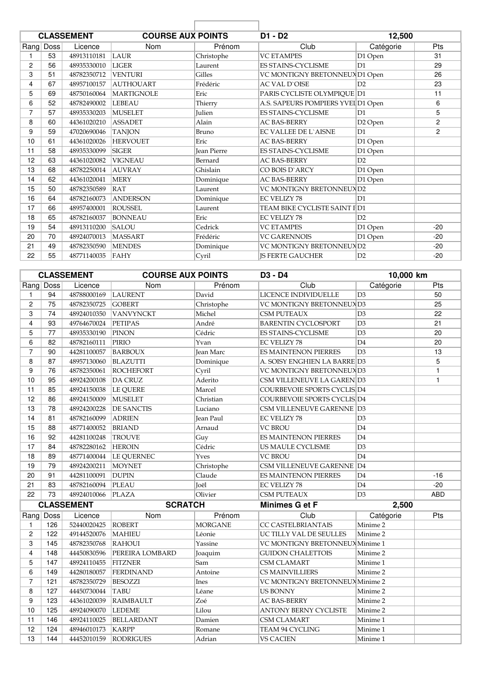|                |      | <b>CLASSEMENT</b> | <b>COURSE AUX POINTS</b> |                    | D1 - D2                            | 12,500              |            |
|----------------|------|-------------------|--------------------------|--------------------|------------------------------------|---------------------|------------|
|                |      |                   |                          |                    |                                    |                     |            |
| Rang           | Doss | Licence           | <b>Nom</b>               | Prénom             | Club                               | Catégorie           | <b>Pts</b> |
|                | 53   | 48913110181       | LAUR                     | Christophe         | <b>VC ETAMPES</b>                  | D1 Open             | 31         |
| 2              | 56   | 48935330010       | LIGER                    | Laurent            | ES STAINS-CYCLISME                 | D1                  | 29         |
| 3              | 51   | 48782350712       | <b>VENTURI</b>           | Gilles             | VC MONTIGNY BRETONNEUX D1 Open     |                     | 26         |
| 4              | 67   | 48957100157       | <b>AUTHOUART</b>         | Frédéric           | <b>AC VAL D'OISE</b>               | D2                  | 23         |
| 5              | 69   | 48750160064       | <b>MARTIGNOLE</b>        | Eric               | PARIS CYCLISTE OLYMPIQUE D1        |                     | 11         |
| 6              | 52   | 48782490002       | <b>LEBEAU</b>            | Thierry            | A.S. SAPEURS POMPIERS YVEI D1 Open |                     | 6          |
| $\overline{7}$ | 57   | 48935330203       | <b>MUSELET</b>           | Julien             | <b>ES STAINS-CYCLISME</b>          | D1                  | 5          |
| 8              | 60   | 44361020210       | <b>ASSADET</b>           | Alain              | <b>AC BAS-BERRY</b>                | D <sub>2</sub> Open | 2          |
| 9              | 59   | 47020690046       | <b>TANJON</b>            | Bruno              | EC VALLEE DE L`AISNE               | D1                  | 2          |
| 10             | 61   | 44361020026       | <b>HERVOUET</b>          | Eric               | <b>AC BAS-BERRY</b>                | D1 Open             |            |
| 11             | 58   | 48935330099       | <b>SIGER</b>             | <b>Jean Pierre</b> | ES STAINS-CYCLISME                 | D1 Open             |            |
| 12             | 63   | 44361020082       | <b>VIGNEAU</b>           | Bernard            | <b>AC BAS-BERRY</b>                | D2                  |            |
| 13             | 68   | 48782250014       | <b>AUVRAY</b>            | Ghislain           | CO BOIS D'ARCY                     | D1 Open             |            |
| 14             | 62   | 44361020041       | <b>MERY</b>              | Dominique          | <b>AC BAS-BERRY</b>                | D1 Open             |            |
| 15             | 50   | 48782350589       | RAT                      | Laurent            | <b>VC MONTIGNY BRETONNEUXD2</b>    |                     |            |
| 16             | 64   | 48782160073       | <b>ANDERSON</b>          | Dominique          | <b>EC VELIZY 78</b>                | D1                  |            |
| 17             | 66   | 48957400001       | <b>ROUSSEL</b>           | Laurent            | TEAM BIKE CYCLISTE SAINT FD1       |                     |            |
| 18             | 65   | 48782160037       | <b>BONNEAU</b>           | Eric               | <b>EC VELIZY 78</b>                | D2                  |            |
| 19             | 54   | 48913110200       | <b>SALOU</b>             | Cedrick            | <b>VC ETAMPES</b>                  | D1 Open             | $-20$      |
| 20             | 70   | 48924070013       | <b>MASSART</b>           | Frédéric           | <b>VC GARENNOIS</b>                | D1 Open             | $-20$      |
| 21             | 49   | 48782350590       | <b>MENDES</b>            | Dominique          | VC MONTIGNY BRETONNEUX D2          |                     | $-20$      |
| 22             | 55   | 48771140035       | FAHY                     | Cyril              | <b>IS FERTE GAUCHER</b>            | D2                  | $-20$      |

|                | <b>CLASSEMENT</b> |                   | <b>COURSE AUX POINTS</b> |                  | D3 - D4                         | 10,000 km      |                 |
|----------------|-------------------|-------------------|--------------------------|------------------|---------------------------------|----------------|-----------------|
|                | Rang Doss         | Licence           | <b>Nom</b>               | Prénom           | Club                            | Catégorie      | Pts             |
| 1              | 94                | 48788000169       | LAURENT                  | David            | LICENCE INDIVIDUELLE            | D <sub>3</sub> | 50              |
| $\overline{c}$ | 75                | 48782350725       | <b>GOBERT</b>            | Christophe       | VC MONTIGNY BRETONNEUX D3       |                | $\overline{25}$ |
| 3              | 74                | 48924010350       | <b>VANVYNCKT</b>         | Michel           | CSM PUTEAUX                     | D <sub>3</sub> | 22              |
| 4              | 93                | 49764670024       | PETIPAS                  | André            | <b>BARENTIN CYCLOSPORT</b>      | D3             | 21              |
| 5              | 77                | 48935330190       | PINON                    | Cédric           | ES STAINS-CYCLISME              | D <sub>3</sub> | 20              |
| 6              | 82                | 48782160111       | PIRIO                    | Yvan             | <b>EC VELIZY 78</b>             | D <sub>4</sub> | 20              |
| $\overline{7}$ | 90                | 44281100057       | <b>BARBOUX</b>           | Jean Marc        | <b>ES MAINTENON PIERRES</b>     | D <sub>3</sub> | 13              |
| 8              | 87                | 48957130060       | <b>BLAZUTTI</b>          | Dominique        | A. SOISY ENGHIEN LA BARRE D3    |                | 5               |
| 9              | 76                | 48782350061       | <b>ROCHEFORT</b>         | Cyril            | VC MONTIGNY BRETONNEUX D3       |                | $\mathbf{1}$    |
| 10             | 95                | 48924200108       | DA CRUZ                  | Aderito          | CSM VILLENEUVE LA GAREN D3      |                | $\mathbf{1}$    |
| 11             | 85                | 48924150038       | LE QUERE                 | Marcel           | COURBEVOIE SPORTS CYCLIS D4     |                |                 |
| 12             | 86                | 48924150009       | MUSELET                  | Christian        | COURBEVOIE SPORTS CYCLIS D4     |                |                 |
| 13             | 78                | 48924200228       | <b>DE SANCTIS</b>        | Luciano          | CSM VILLENEUVE GARENNE   D3     |                |                 |
| 14             | 81                | 48782160099       | <b>ADRIEN</b>            | <b>Jean Paul</b> | <b>EC VELIZY 78</b>             | D <sub>3</sub> |                 |
| 15             | 88                | 48771400052       | <b>BRIAND</b>            | Arnaud           | <b>VC BROU</b>                  | D <sub>4</sub> |                 |
| 16             | 92                | 44281100248       | <b>TROUVE</b>            | Guy              | <b>ES MAINTENON PIERRES</b>     | D <sub>4</sub> |                 |
| 17             | 84                | 48782280162       | <b>HEROIN</b>            | Cédric           | US MAULE CYCLISME               | D <sub>3</sub> |                 |
| 18             | 89                | 48771400044       | LE QUERNEC               | Yves             | <b>VC BROU</b>                  | D <sub>4</sub> |                 |
| 19             | 79                | 48924200211       | <b>MOYNET</b>            | Christophe       | CSM VILLENEUVE GARENNE D4       |                |                 |
| 20             | 91                | 44281100091       | <b>DUPIN</b>             | Claude           | <b>ES MAINTENON PIERRES</b>     | D <sub>4</sub> | $-16$           |
| 21             | 83                | 48782160094       | PLEAU                    | Joël             | <b>EC VELIZY 78</b>             | D <sub>4</sub> | $-20$           |
| 22             | 73                | 48924010066       | <b>PLAZA</b>             | Olivier          | <b>CSM PUTEAUX</b>              | D3             | ABD             |
|                |                   | <b>CLASSEMENT</b> | <b>SCRATCH</b>           |                  | Minimes G et F                  | 2,500          |                 |
|                | Rang Doss         | Licence           | Nom                      | Prénom           | Club                            | Catégorie      | Pts             |
| 1              | 126               | 52440020425       | <b>ROBERT</b>            | <b>MORGANE</b>   | CC CASTELBRIANTAIS              | Minime 2       |                 |
| $\overline{c}$ | 122               | 49144520076       | <b>MAHIEU</b>            | Léonie           | UC TILLY VAL DE SEULLES         | Minime 2       |                 |
| 3              | 145               | 48782350768       | <b>RAHOUI</b>            | Yassine          | VC MONTIGNY BRETONNEUX Minime 1 |                |                 |
| $\overline{4}$ | 148               | 44450830596       | PEREIRA LOMBARD          | Joaquim          | <b>GUIDON CHALETTOIS</b>        | Minime 2       |                 |
| 5              | 147               | 48924110455       | FITZNER                  | Sam              | CSM CLAMART                     | Minime 1       |                 |
| 6              | 149               | 44280180057       | FERDINAND                | Antoine          | CS MAINVILLIERS                 | Minime 2       |                 |
| $\overline{7}$ | 121               | 48782350729       | <b>BESOZZI</b>           | Ines             | VC MONTIGNY BRETONNEUX Minime 2 |                |                 |
| 8              | 127               | 44450730044       | <b>TABU</b>              | Léane            | <b>US BONNY</b>                 | Minime 2       |                 |
| 9              | 123               | 44361020039       | RAIMBAULT                | Zoé              | <b>AC BAS-BERRY</b>             | Minime 2       |                 |
| 10             | 125               | 48924090070       | <b>LEDEME</b>            | Lilou            | <b>ANTONY BERNY CYCLISTE</b>    | Minime 2       |                 |
| 11             | 146               | 48924110025       | <b>BELLARDANT</b>        | Damien           | <b>CSM CLAMART</b>              | Minime 1       |                 |
| 12             | 124               | 48946010173       | <b>KARPP</b>             | Romane           | TEAM 94 CYCLING                 | Minime 1       |                 |
| 13             | 144               | 44452010159       | <b>RODRIGUES</b>         | Adrian           | <b>VS CACIEN</b>                | Minime 1       |                 |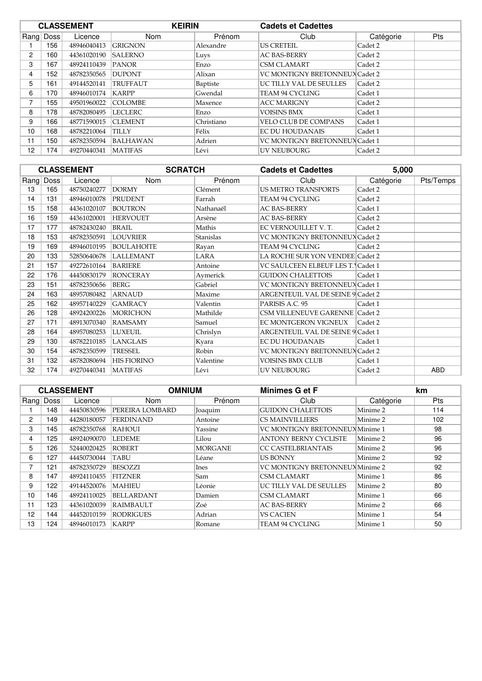|                |           | <b>CLASSEMENT</b> | <b>KEIRIN</b>  |            | <b>Cadets et Cadettes</b>      |           |            |
|----------------|-----------|-------------------|----------------|------------|--------------------------------|-----------|------------|
|                | Rang Doss | Licence           | Nom            | Prénom     | Club                           | Catégorie | <b>Pts</b> |
|                | 156       | 48946040413       | <b>GRIGNON</b> | Alexandre  | <b>US CRETEIL</b>              | Cadet 2   |            |
| $\overline{2}$ | 160       | 44361020190       | <b>SALERNO</b> | Luys       | <b>AC BAS-BERRY</b>            | Cadet 2   |            |
| 3              | 167       | 48924110439       | PANOR          | Enzo       | <b>CSM CLAMART</b>             | Cadet 2   |            |
| 4              | 152       | 48782350565       | <b>DUPONT</b>  | Alixan     | VC MONTIGNY BRETONNEUX Cadet 2 |           |            |
| 5              | 161       | 49144520141       | TRUFFAUT       | Baptiste   | UC TILLY VAL DE SEULLES        | Cadet 2   |            |
| 6              | 170.      | 48946010174       | <b>KARPP</b>   | Gwendal    | TEAM 94 CYCLING                | Cadet 1   |            |
| 7              | 155       | 49501960022       | <b>COLOMBE</b> | Maxence    | <b>ACC MARIGNY</b>             | Cadet 2   |            |
| 8              | 178       | 48782080495       | LECLERC        | Enzo       | <b>VOISINS BMX</b>             | Cadet 1   |            |
| 9              | 166       | 48771590015       | <b>CLEMENT</b> | Christiano | <b>VELO CLUB DE COMPANS</b>    | Cadet 1   |            |
| 10             | 168       | 48782210064       | TILLY          | Félix      | <b>EC DU HOUDANAIS</b>         | Cadet 1   |            |
| 11             | 150       | 48782350594       | BALHAWAN       | Adrien     | VC MONTIGNY BRETONNEUX Cadet 1 |           |            |
| 12             | 174       | 49270440341       | <b>MATIFAS</b> | Lévi       | <b>UV NEUBOURG</b>             | Cadet 2   |            |

|    |           | <b>CLASSEMENT</b> | <b>SCRATCH</b>    |                  | <b>Cadets et Cadettes</b>          | 5,000     |           |
|----|-----------|-------------------|-------------------|------------------|------------------------------------|-----------|-----------|
|    | Rang Doss | Licence           | Nom               | Prénom           | Club                               | Catégorie | Pts/Temps |
| 13 | 165       | 48750240277       | <b>DORMY</b>      | Clément          | <b>US METRO TRANSPORTS</b>         | Cadet 2   |           |
| 14 | 131       | 48946010078       | <b>PRUDENT</b>    | Farrah           | TEAM 94 CYCLING                    | Cadet 2   |           |
| 15 | 158       | 44361020107       | <b>BOUTRON</b>    | Nathanaël        | <b>AC BAS-BERRY</b>                | Cadet 1   |           |
| 16 | 159       | 44361020001       | <b>HERVOUET</b>   | Arsène           | <b>AC BAS-BERRY</b>                | Cadet 2   |           |
| 17 | 177       | 48782430240       | BRAIL             | Mathis           | EC VERNOUILLET V.T.                | Cadet 2   |           |
| 18 | 153       | 48782350591       | <b>LOUVRIER</b>   | <b>Stanislas</b> | VC MONTIGNY BRETONNEUX Cadet 2     |           |           |
| 19 | 169       | 48946010195       | <b>BOULAHOITE</b> | Rayan            | TEAM 94 CYCLING                    | Cadet 2   |           |
| 20 | 133       | 52850640678       | LALLEMANT         | LARA             | LA ROCHE SUR YON VENDEE Cadet 2    |           |           |
| 21 | 157       | 49272610164       | <b>BARIERE</b>    | Antoine          | VC SAULCEEN ELBEUF LES T. \Cadet 1 |           |           |
| 22 | 176       | 44450830179       | <b>RONCERAY</b>   | Aymerick         | <b>GUIDON CHALETTOIS</b>           | Cadet 1   |           |
| 23 | 151       | 48782350656       | <b>BERG</b>       | Gabriel          | VC MONTIGNY BRETONNEUX Cadet 1     |           |           |
| 24 | 163       | 48957080482       | <b>ARNAUD</b>     | Maxime           | ARGENTEUIL VAL DE SEINE 9 Cadet 2  |           |           |
| 25 | 162       | 48957140229       | <b>GAMRACY</b>    | Valentin         | PARISIS A.C. 95                    | Cadet 1   |           |
| 26 | 128       | 48924200226       | <b>MORICHON</b>   | Mathilde         | CSM VILLENEUVE GARENNE Cadet 2     |           |           |
| 27 | 171       | 48913070340       | <b>RAMSAMY</b>    | Samuel           | EC MONTGERON VIGNEUX               | Cadet 2   |           |
| 28 | 164       | 48957080253       | LUXEUIL           | Chrislyn         | ARGENTEUIL VAL DE SEINE 9 Cadet 1  |           |           |
| 29 | 130       | 48782210185       | LANGLAIS          | Kyara            | <b>EC DU HOUDANAIS</b>             | Cadet 1   |           |
| 30 | 154       | 48782350599       | TRESSEL           | Robin            | VC MONTIGNY BRETONNEUX Cadet 2     |           |           |
| 31 | 132       | 48782080694       | HIS FIORINO       | Valentine        | VOISINS BMX CLUB                   | Cadet 1   |           |
| 32 | 174       | 49270440341       | <b>MATIFAS</b>    | Lévi             | UV NEUBOURG                        | Cadet 2   | ABD       |

|    | <b>CLASSEMENT</b> |             | <b>OMNIUM</b>     |                | Minimes G et F                  |           | <b>km</b>  |  |
|----|-------------------|-------------|-------------------|----------------|---------------------------------|-----------|------------|--|
|    | Rang Doss         | Licence     | <b>Nom</b>        | Prénom         | Club                            | Catégorie | <b>Pts</b> |  |
|    | 148               | 44450830596 | PEREIRA LOMBARD   | Joaquim        | <b>GUIDON CHALETTOIS</b>        | Minime 2  | 114        |  |
| 2  | 149               | 44280180057 | <b>FERDINAND</b>  | Antoine        | <b>CS MAINVILLIERS</b>          | Minime 2  | 102        |  |
| 3  | 145               | 48782350768 | RAHOUI            | Yassine        | VC MONTIGNY BRETONNEUX Minime 1 |           | 98         |  |
| 4  | 125               | 48924090070 | <b>LEDEME</b>     | Lilou          | <b>ANTONY BERNY CYCLISTE</b>    | Minime 2  | 96         |  |
| 5  | 126               | 52440020425 | <b>ROBERT</b>     | <b>MORGANE</b> | <b>CC CASTELBRIANTAIS</b>       | Minime 2  | 96         |  |
| 6  | 127               | 44450730044 | TABU              | Léane          | <b>US BONNY</b>                 | Minime 2  | 92         |  |
| 7  | 121               | 48782350729 | <b>BESOZZI</b>    | Ines           | VC MONTIGNY BRETONNEUNMinime 2  |           | 92         |  |
| 8  | 147               | 48924110455 | <b>FITZNER</b>    | Sam            | <b>CSM CLAMART</b>              | Minime 1  | 86         |  |
| 9  | 122               | 49144520076 | <b>MAHIEU</b>     | Léonie         | UC TILLY VAL DE SEULLES         | Minime 2  | 80         |  |
| 10 | 146               | 48924110025 | <b>BELLARDANT</b> | Damien         | <b>CSM CLAMART</b>              | Minime 1  | 66         |  |
| 11 | 123               | 44361020039 | <b>RAIMBAULT</b>  | Zoé            | <b>AC BAS-BERRY</b>             | Minime 2  | 66         |  |
| 12 | 144               | 44452010159 | <b>RODRIGUES</b>  | Adrian         | <b>VS CACIEN</b>                | Minime 1  | 54         |  |
| 13 | 124               | 48946010173 | <b>KARPP</b>      | Romane         | TEAM 94 CYCLING                 | Minime 1  | 50         |  |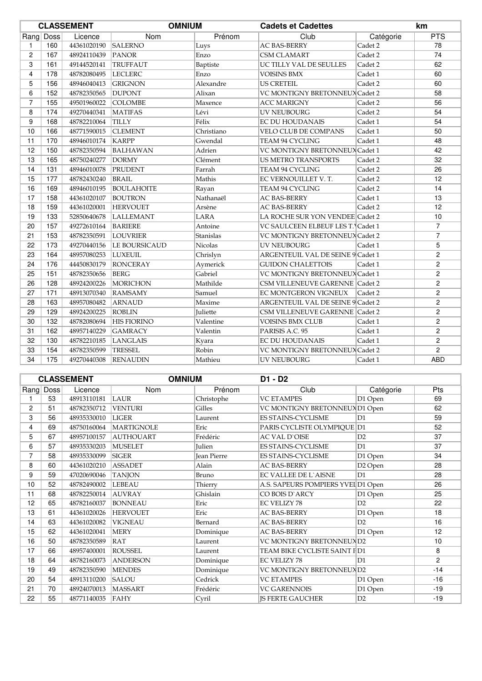|                |           | <b>CLASSEMENT</b> | <b>OMNIUM</b>      |                  | <b>Cadets et Cadettes</b>         |           | km             |
|----------------|-----------|-------------------|--------------------|------------------|-----------------------------------|-----------|----------------|
|                | Rang Doss | Licence           | Nom                | Prénom           | Club                              | Catégorie | <b>PTS</b>     |
| 1              | 160       | 44361020190       | <b>SALERNO</b>     | Luys             | <b>AC BAS-BERRY</b>               | Cadet 2   | 78             |
| $\overline{c}$ | 167       | 48924110439       | PANOR              | Enzo             | <b>CSM CLAMART</b>                | Cadet 2   | 74             |
| 3              | 161       | 49144520141       | <b>TRUFFAUT</b>    | Baptiste         | UC TILLY VAL DE SEULLES           | Cadet 2   | 62             |
| 4              | 178       | 48782080495       | <b>LECLERC</b>     | Enzo             | <b>VOISINS BMX</b>                | Cadet 1   | 60             |
| 5              | 156       | 48946040413       | <b>GRIGNON</b>     | Alexandre        | <b>US CRETEIL</b>                 | Cadet 2   | 60             |
| 6              | 152       | 48782350565       | <b>DUPONT</b>      | Alixan           | VC MONTIGNY BRETONNEUX Cadet 2    |           | 58             |
| $\overline{7}$ | 155       | 49501960022       | <b>COLOMBE</b>     | Maxence          | <b>ACC MARIGNY</b>                | Cadet 2   | 56             |
| 8              | 174       | 49270440341       | <b>MATIFAS</b>     | Lévi             | <b>UV NEUBOURG</b>                | Cadet 2   | 54             |
| 9              | 168       | 48782210064       | <b>TILLY</b>       | Félix            | <b>EC DU HOUDANAIS</b>            | Cadet 1   | 54             |
| 10             | 166       | 48771590015       | <b>CLEMENT</b>     | Christiano       | VELO CLUB DE COMPANS              | Cadet 1   | 50             |
| 11             | 170       | 48946010174       | <b>KARPP</b>       | Gwendal          | TEAM 94 CYCLING                   | Cadet 1   | 48             |
| 12             | 150       | 48782350594       | <b>BALHAWAN</b>    | Adrien           | VC MONTIGNY BRETONNEUX Cadet 1    |           | 42             |
| 13             | 165       | 48750240277       | <b>DORMY</b>       | Clément          | <b>US METRO TRANSPORTS</b>        | Cadet 2   | 32             |
| 14             | 131       | 48946010078       | PRUDENT            | Farrah           | <b>TEAM 94 CYCLING</b>            | Cadet 2   | 26             |
| 15             | 177       | 48782430240       | <b>BRAIL</b>       | Mathis           | EC VERNOUILLET V.T.               | Cadet 2   | 12             |
| 16             | 169       | 48946010195       | <b>BOULAHOITE</b>  | Rayan            | <b>TEAM 94 CYCLING</b>            | Cadet 2   | 14             |
| 17             | 158       | 44361020107       | <b>BOUTRON</b>     | Nathanaël        | AC BAS-BERRY                      | Cadet 1   | 13             |
| 18             | 159       | 44361020001       | <b>HERVOUET</b>    | Arsène           | <b>AC BAS-BERRY</b>               | Cadet 2   | 12             |
| 19             | 133       | 52850640678       | <b>LALLEMANT</b>   | LARA             | LA ROCHE SUR YON VENDEE Cadet 2   |           | 10             |
| 20             | 157       | 49272610164       | <b>BARIERE</b>     | Antoine          | VC SAULCEEN ELBEUF LES T. Cadet 1 |           | $\overline{7}$ |
| 21             | 153       | 48782350591       | <b>LOUVRIER</b>    | <b>Stanislas</b> | VC MONTIGNY BRETONNEUX Cadet 2    |           | $\overline{7}$ |
| 22             | 173       | 49270440156       | LE BOURSICAUD      | Nicolas          | <b>UV NEUBOURG</b>                | Cadet 1   | 5              |
| 23             | 164       | 48957080253       | LUXEUIL            | Chrislyn         | ARGENTEUIL VAL DE SEINE 9 Cadet 1 |           | 2              |
| 24             | 176       | 44450830179       | <b>RONCERAY</b>    | Aymerick         | <b>GUIDON CHALETTOIS</b>          | Cadet 1   | $\overline{c}$ |
| 25             | 151       | 48782350656       | <b>BERG</b>        | Gabriel          | VC MONTIGNY BRETONNEUX Cadet 1    |           | $\overline{2}$ |
| 26             | 128       | 48924200226       | <b>MORICHON</b>    | Mathilde         | CSM VILLENEUVE GARENNE Cadet 2    |           | $\overline{c}$ |
| 27             | 171       | 48913070340       | <b>RAMSAMY</b>     | Samuel           | <b>EC MONTGERON VIGNEUX</b>       | Cadet 2   | $\overline{2}$ |
| 28             | 163       | 48957080482       | <b>ARNAUD</b>      | Maxime           | ARGENTEUIL VAL DE SEINE 9 Cadet 2 |           | $\overline{2}$ |
| 29             | 129       | 48924200225       | <b>ROBLIN</b>      | Juliette         | CSM VILLENEUVE GARENNE Cadet 2    |           | $\overline{2}$ |
| 30             | 132       | 48782080694       | <b>HIS FIORINO</b> | Valentine        | <b>VOISINS BMX CLUB</b>           | Cadet 1   | $\overline{2}$ |
| 31             | 162       | 48957140229       | <b>GAMRACY</b>     | Valentin         | PARISIS A.C. 95                   | Cadet 1   | $\overline{c}$ |
| 32             | 130       | 48782210185       | LANGLAIS           | Kyara            | <b>EC DU HOUDANAIS</b>            | Cadet 1   | $\overline{2}$ |
| 33             | 154       | 48782350599       | <b>TRESSEL</b>     | Robin            | VC MONTIGNY BRETONNEUX Cadet 2    |           | $\overline{2}$ |
| 34             | 175       | 49270440308       | <b>RENAUDIN</b>    | Mathieu          | <b>UV NEUBOURG</b>                | Cadet 1   | <b>ABD</b>     |

| <b>CLASSEMENT</b> |           |             | <b>OMNIUM</b>     |                    | D1 - D2                            |                     |                |
|-------------------|-----------|-------------|-------------------|--------------------|------------------------------------|---------------------|----------------|
|                   | Rang Doss | Licence     | Nom               | Prénom             | Club                               | Catégorie           | <b>Pts</b>     |
|                   | 53        | 48913110181 | <b>LAUR</b>       | Christophe         | <b>VC ETAMPES</b>                  | D1 Open             | 69             |
| $\overline{c}$    | 51        | 48782350712 | <b>VENTURI</b>    | Gilles             | VC MONTIGNY BRETONNEUXD1 Open      |                     | 62             |
| 3                 | 56        | 48935330010 | <b>LIGER</b>      | Laurent            | <b>ES STAINS-CYCLISME</b>          | D1                  | 59             |
| 4                 | 69        | 48750160064 | <b>MARTIGNOLE</b> | Eric               | PARIS CYCLISTE OLYMPIQUE D1        |                     | 52             |
| 5                 | 67        | 48957100157 | <b>AUTHOUART</b>  | Frédéric           | <b>AC VAL D'OISE</b>               | D2                  | 37             |
| 6                 | 57        | 48935330203 | <b>MUSELET</b>    | Julien             | <b>ES STAINS-CYCLISME</b>          | D1                  | 37             |
| 7                 | 58        | 48935330099 | <b>SIGER</b>      | <b>Jean Pierre</b> | ES STAINS-CYCLISME                 | D1 Open             | 34             |
| 8                 | 60        | 44361020210 | <b>ASSADET</b>    | Alain              | <b>AC BAS-BERRY</b>                | D <sub>2</sub> Open | 28             |
| 9                 | 59        | 47020690046 | <b>TANJON</b>     | Bruno              | <b>EC VALLEE DE L'AISNE</b>        | D1                  | 28             |
| 10                | 52        | 48782490002 | LEBEAU            | Thierry            | A.S. SAPEURS POMPIERS YVEI D1 Open |                     | 26             |
| 11                | 68        | 48782250014 | <b>AUVRAY</b>     | Ghislain           | CO BOIS D'ARCY                     | D1 Open             | 25             |
| 12                | 65        | 48782160037 | <b>BONNEAU</b>    | Eric               | <b>EC VELIZY 78</b>                | D2                  | 22             |
| 13                | 61        | 44361020026 | <b>HERVOUET</b>   | Eric               | <b>AC BAS-BERRY</b>                | D1 Open             | 18             |
| 14                | 63        | 44361020082 | <b>VIGNEAU</b>    | Bernard            | <b>AC BAS-BERRY</b>                | D2                  | 16             |
| 15                | 62        | 44361020041 | MERY              | Dominique          | <b>AC BAS-BERRY</b>                | D1 Open             | 12             |
| 16                | 50        | 48782350589 | RAT               | Laurent            | <b>VC MONTIGNY BRETONNEUX D2</b>   |                     | 10             |
| 17                | 66        | 48957400001 | <b>ROUSSEL</b>    | Laurent            | TEAM BIKE CYCLISTE SAINT F D1      |                     | 8              |
| 18                | 64        | 48782160073 | <b>ANDERSON</b>   | Dominique          | <b>EC VELIZY 78</b>                | D1                  | $\overline{c}$ |
| 19                | 49        | 48782350590 | <b>MENDES</b>     | Dominique          | <b>VC MONTIGNY BRETONNEUXD2</b>    |                     | $-14$          |
| 20                | 54        | 48913110200 | <b>SALOU</b>      | Cedrick            | <b>VC ETAMPES</b>                  | D1 Open             | $-16$          |
| 21                | 70        | 48924070013 | <b>MASSART</b>    | Frédéric           | <b>VC GARENNOIS</b>                | D1 Open             | $-19$          |
| 22                | 55        | 48771140035 | FAHY              | Cyril              | <b>JS FERTE GAUCHER</b>            | D2                  | $-19$          |